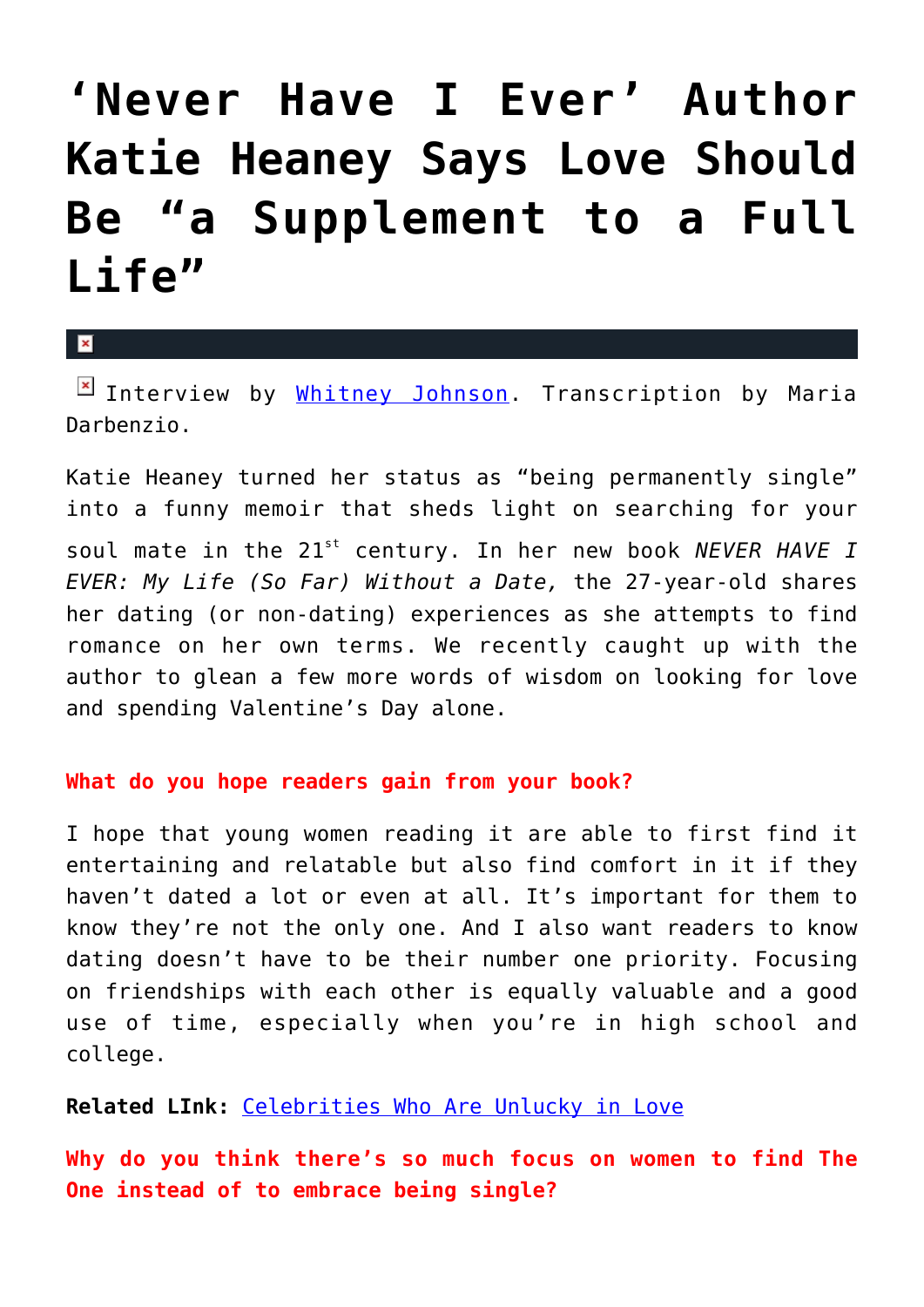## **['Never Have I Ever' Author](https://cupidspulse.com/69385/never-have-i-ever-author-katie-heaney-says-love-should-be-a-supplement-to-a-full-life/) [Katie Heaney Says Love Should](https://cupidspulse.com/69385/never-have-i-ever-author-katie-heaney-says-love-should-be-a-supplement-to-a-full-life/) [Be "a Supplement to a Full](https://cupidspulse.com/69385/never-have-i-ever-author-katie-heaney-says-love-should-be-a-supplement-to-a-full-life/) [Life"](https://cupidspulse.com/69385/never-have-i-ever-author-katie-heaney-says-love-should-be-a-supplement-to-a-full-life/)**

 $\mathbf{R}$ 

Interview by [Whitney Johnson](http://cupidspulse.com/104601/whitney-johnson/). Transcription by Maria Darbenzio.

Katie Heaney turned her status as "being permanently single" into a funny memoir that sheds light on searching for your soul mate in the 21st century. In her new book *NEVER HAVE I EVER: My Life (So Far) Without a Date,* the 27-year-old shares her dating (or non-dating) experiences as she attempts to find romance on her own terms. We recently caught up with the author to glean a few more words of wisdom on looking for love and spending Valentine's Day alone.

## **What do you hope readers gain from your book?**

I hope that young women reading it are able to first find it entertaining and relatable but also find comfort in it if they haven't dated a lot or even at all. It's important for them to know they're not the only one. And I also want readers to know dating doesn't have to be their number one priority. Focusing on friendships with each other is equally valuable and a good use of time, especially when you're in high school and college.

**Related LInk:** [Celebrities Who Are Unlucky in Love](http://cupidspulse.com/celebrities-who-cant-find-true-love/)

**Why do you think there's so much focus on women to find The One instead of to embrace being single?**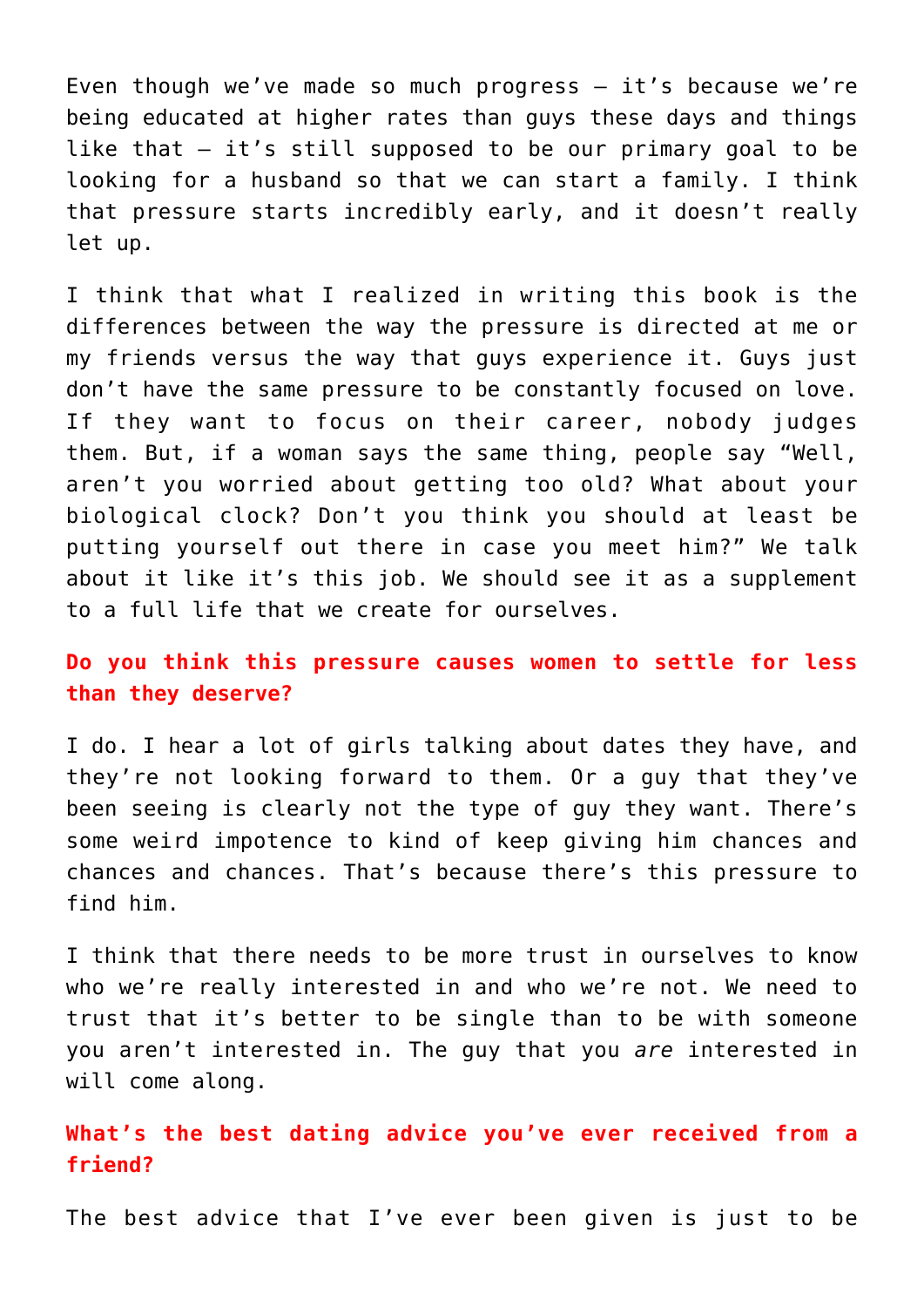Even though we've made so much progress — it's because we're being educated at higher rates than guys these days and things like that — it's still supposed to be our primary goal to be looking for a husband so that we can start a family. I think that pressure starts incredibly early, and it doesn't really let up.

I think that what I realized in writing this book is the differences between the way the pressure is directed at me or my friends versus the way that guys experience it. Guys just don't have the same pressure to be constantly focused on love. If they want to focus on their career, nobody judges them. But, if a woman says the same thing, people say "Well, aren't you worried about getting too old? What about your biological clock? Don't you think you should at least be putting yourself out there in case you meet him?" We talk about it like it's this job. We should see it as a supplement to a full life that we create for ourselves.

## **Do you think this pressure causes women to settle for less than they deserve?**

I do. I hear a lot of girls talking about dates they have, and they're not looking forward to them. Or a guy that they've been seeing is clearly not the type of guy they want. There's some weird impotence to kind of keep giving him chances and chances and chances. That's because there's this pressure to find him.

I think that there needs to be more trust in ourselves to know who we're really interested in and who we're not. We need to trust that it's better to be single than to be with someone you aren't interested in. The guy that you *are* interested in will come along.

**What's the best dating advice you've ever received from a friend?**

The best advice that I've ever been given is just to be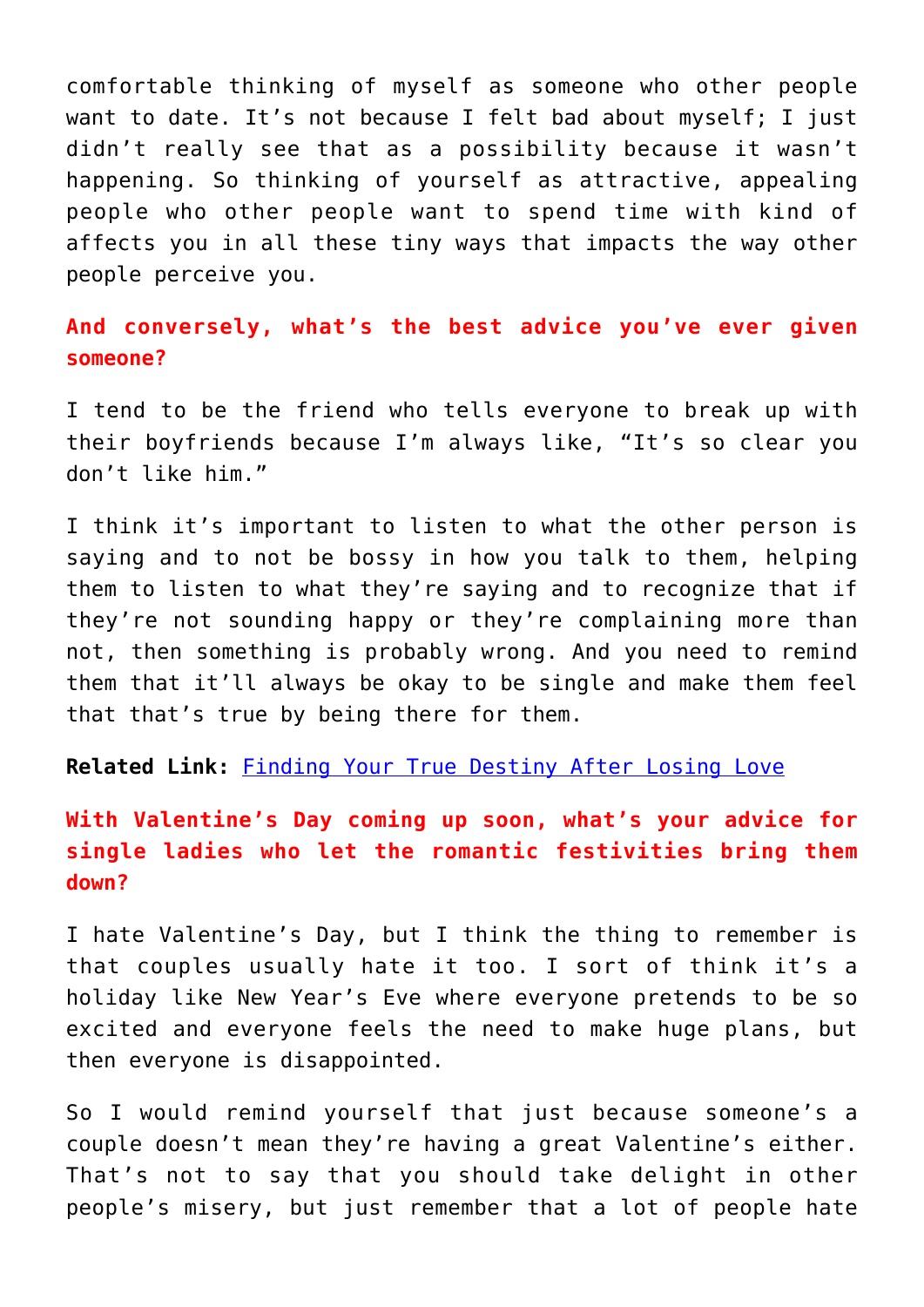comfortable thinking of myself as someone who other people want to date. It's not because I felt bad about myself; I just didn't really see that as a possibility because it wasn't happening. So thinking of yourself as attractive, appealing people who other people want to spend time with kind of affects you in all these tiny ways that impacts the way other people perceive you.

**And conversely, what's the best advice you've ever given someone?**

I tend to be the friend who tells everyone to break up with their boyfriends because I'm always like, "It's so clear you don't like him."

I think it's important to listen to what the other person is saying and to not be bossy in how you talk to them, helping them to listen to what they're saying and to recognize that if they're not sounding happy or they're complaining more than not, then something is probably wrong. And you need to remind them that it'll always be okay to be single and make them feel that that's true by being there for them.

**Related Link:** [Finding Your True Destiny After Losing Love](http://cupidspulse.com/finding-true-destiny-losing-love/)

**With Valentine's Day coming up soon, what's your advice for single ladies who let the romantic festivities bring them down?**

I hate Valentine's Day, but I think the thing to remember is that couples usually hate it too. I sort of think it's a holiday like New Year's Eve where everyone pretends to be so excited and everyone feels the need to make huge plans, but then everyone is disappointed.

So I would remind yourself that just because someone's a couple doesn't mean they're having a great Valentine's either. That's not to say that you should take delight in other people's misery, but just remember that a lot of people hate